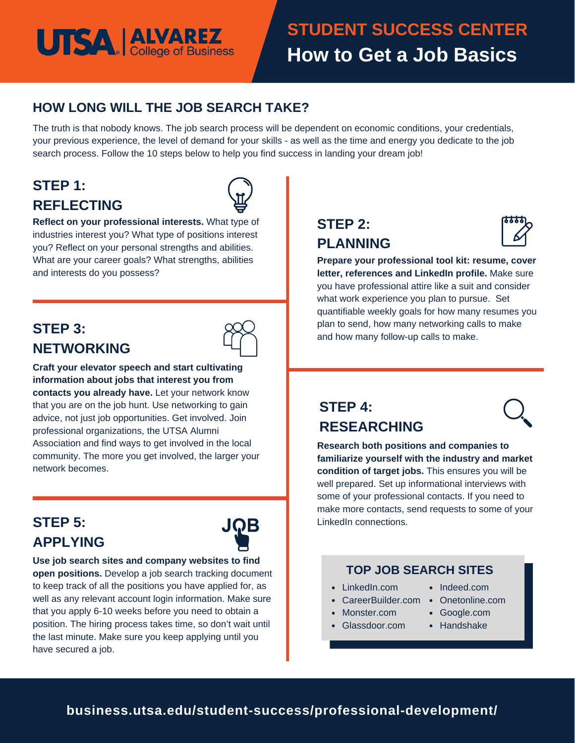# **UTSA ALVAREZ**

## **STUDENT SUCCESS CENTER How to Get a Job Basics**

#### **HOW LONG WILL THE JOB SEARCH TAKE?**

The truth is that nobody knows. The job search process will be dependent on economic conditions, your credentials, your previous experience, the level of demand for your skills - as well as the time and energy you dedicate to the job search process. Follow the 10 steps below to help you find success in landing your dream job!

### **STEP 1: REFLECTING**



**Reflect on your professional interests.** What type of industries interest you? What type of positions interest you? Reflect on your personal strengths and abilities. What are your career goals? What strengths, abilities and interests do you possess?

### **STEP 3: NETWORKING**



**Craft your elevator speech and start cultivating information about jobs that interest you from contacts you already have.** Let your network know that you are on the job hunt. Use networking to gain advice, not just job opportunities. Get involved. Join professional organizations, the UTSA Alumni Association and find ways to get involved in the local community. The more you get involved, the larger your network becomes.

### **STEP 5: APPLYING**



**Use job search sites and company websites to find open positions.** Develop a job search tracking document to keep track of all the positions you have applied for, as well as any relevant account login information. Make sure that you apply 6-10 weeks before you need to obtain a position. The hiring process takes time, so don't wait until the last minute. Make sure you keep applying until you have secured a job.

### **STEP 2: PLANNING**



**Prepare your professional tool kit: resume, cover letter, references and LinkedIn profile.** Make sure you have professional attire like a suit and consider what work experience you plan to pursue. Set quantifiable weekly goals for how many resumes you plan to send, how many networking calls to make and how many follow-up calls to make.

### **STEP 4: RESEARCHING**

**Research both positions and companies to familiarize yourself with the industry and market condition of target jobs.** This ensures you will be well prepared. Set up informational interviews with some of your professional contacts. If you need to make more contacts, send requests to some of your LinkedIn connections.

#### **TOP JOB SEARCH SITES**

- LinkedIn.com
- CareerBuilder.com Onetonline.com
- Monster.com
- Glassdoor.com
- 

• Indeed.com

- Google.com
- Handshake

**business.utsa.edu/student-success/professional-development/**